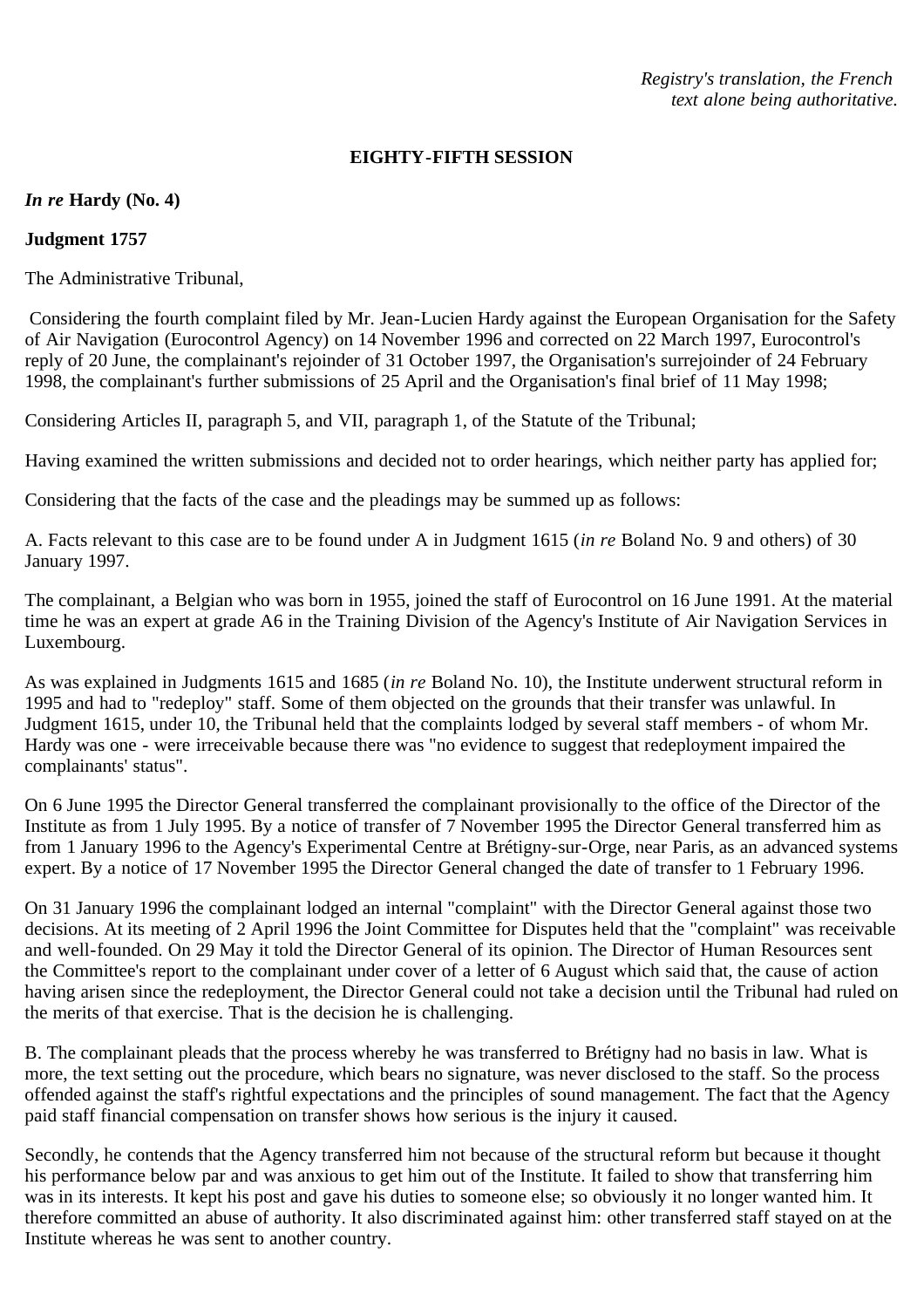# **EIGHTY-FIFTH SESSION**

# *In re* **Hardy (No. 4)**

# **Judgment 1757**

The Administrative Tribunal,

 Considering the fourth complaint filed by Mr. Jean-Lucien Hardy against the European Organisation for the Safety of Air Navigation (Eurocontrol Agency) on 14 November 1996 and corrected on 22 March 1997, Eurocontrol's reply of 20 June, the complainant's rejoinder of 31 October 1997, the Organisation's surrejoinder of 24 February 1998, the complainant's further submissions of 25 April and the Organisation's final brief of 11 May 1998;

Considering Articles II, paragraph 5, and VII, paragraph 1, of the Statute of the Tribunal;

Having examined the written submissions and decided not to order hearings, which neither party has applied for;

Considering that the facts of the case and the pleadings may be summed up as follows:

A. Facts relevant to this case are to be found under A in Judgment 1615 (*in re* Boland No. 9 and others) of 30 January 1997.

The complainant, a Belgian who was born in 1955, joined the staff of Eurocontrol on 16 June 1991. At the material time he was an expert at grade A6 in the Training Division of the Agency's Institute of Air Navigation Services in Luxembourg.

As was explained in Judgments 1615 and 1685 (*in re* Boland No. 10), the Institute underwent structural reform in 1995 and had to "redeploy" staff. Some of them objected on the grounds that their transfer was unlawful. In Judgment 1615, under 10, the Tribunal held that the complaints lodged by several staff members - of whom Mr. Hardy was one - were irreceivable because there was "no evidence to suggest that redeployment impaired the complainants' status".

On 6 June 1995 the Director General transferred the complainant provisionally to the office of the Director of the Institute as from 1 July 1995. By a notice of transfer of 7 November 1995 the Director General transferred him as from 1 January 1996 to the Agency's Experimental Centre at Brétigny-sur-Orge, near Paris, as an advanced systems expert. By a notice of 17 November 1995 the Director General changed the date of transfer to 1 February 1996.

On 31 January 1996 the complainant lodged an internal "complaint" with the Director General against those two decisions. At its meeting of 2 April 1996 the Joint Committee for Disputes held that the "complaint" was receivable and well-founded. On 29 May it told the Director General of its opinion. The Director of Human Resources sent the Committee's report to the complainant under cover of a letter of 6 August which said that, the cause of action having arisen since the redeployment, the Director General could not take a decision until the Tribunal had ruled on the merits of that exercise. That is the decision he is challenging.

B. The complainant pleads that the process whereby he was transferred to Brétigny had no basis in law. What is more, the text setting out the procedure, which bears no signature, was never disclosed to the staff. So the process offended against the staff's rightful expectations and the principles of sound management. The fact that the Agency paid staff financial compensation on transfer shows how serious is the injury it caused.

Secondly, he contends that the Agency transferred him not because of the structural reform but because it thought his performance below par and was anxious to get him out of the Institute. It failed to show that transferring him was in its interests. It kept his post and gave his duties to someone else; so obviously it no longer wanted him. It therefore committed an abuse of authority. It also discriminated against him: other transferred staff stayed on at the Institute whereas he was sent to another country.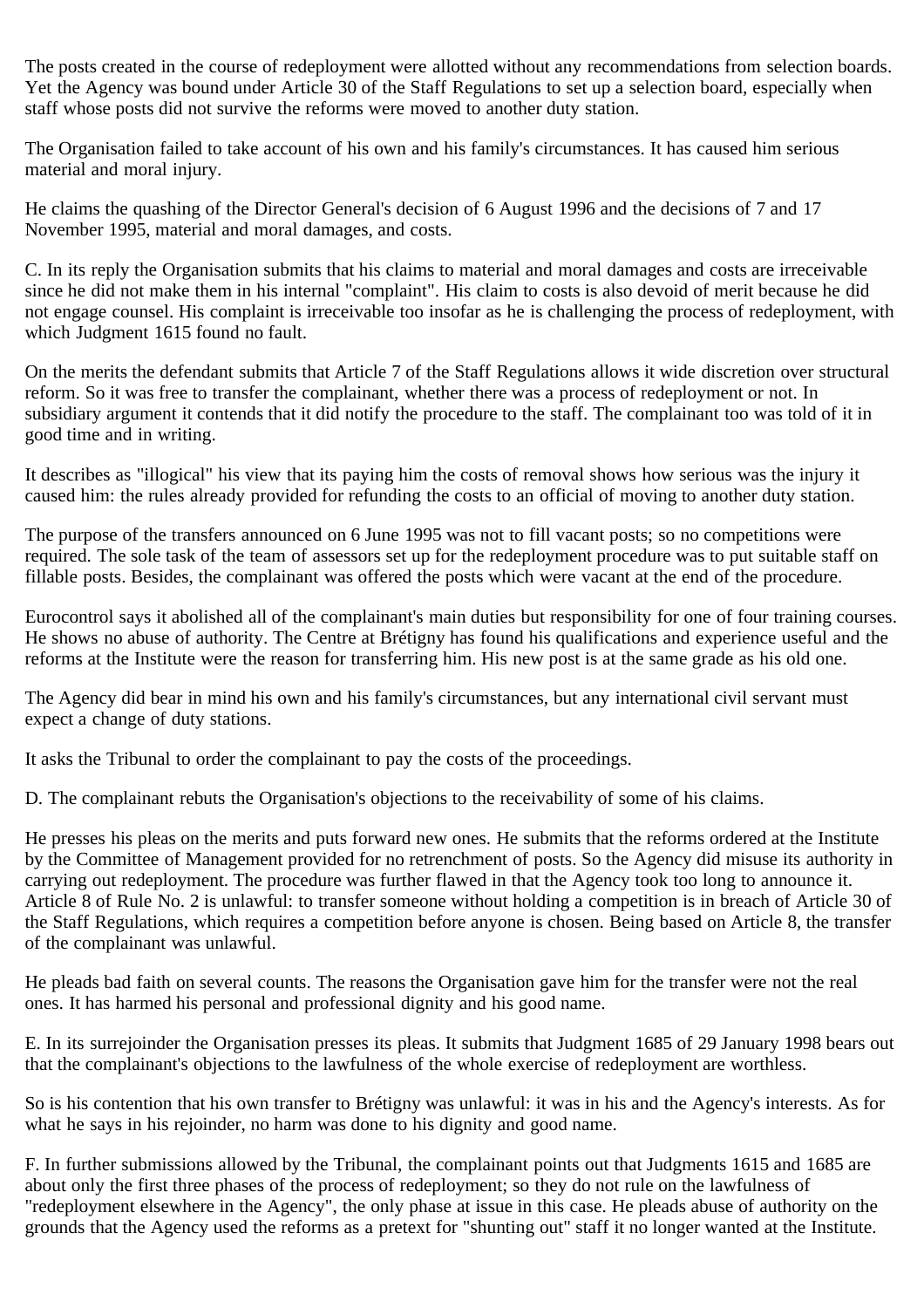The posts created in the course of redeployment were allotted without any recommendations from selection boards. Yet the Agency was bound under Article 30 of the Staff Regulations to set up a selection board, especially when staff whose posts did not survive the reforms were moved to another duty station.

The Organisation failed to take account of his own and his family's circumstances. It has caused him serious material and moral injury.

He claims the quashing of the Director General's decision of 6 August 1996 and the decisions of 7 and 17 November 1995, material and moral damages, and costs.

C. In its reply the Organisation submits that his claims to material and moral damages and costs are irreceivable since he did not make them in his internal "complaint". His claim to costs is also devoid of merit because he did not engage counsel. His complaint is irreceivable too insofar as he is challenging the process of redeployment, with which Judgment 1615 found no fault.

On the merits the defendant submits that Article 7 of the Staff Regulations allows it wide discretion over structural reform. So it was free to transfer the complainant, whether there was a process of redeployment or not. In subsidiary argument it contends that it did notify the procedure to the staff. The complainant too was told of it in good time and in writing.

It describes as "illogical" his view that its paying him the costs of removal shows how serious was the injury it caused him: the rules already provided for refunding the costs to an official of moving to another duty station.

The purpose of the transfers announced on 6 June 1995 was not to fill vacant posts; so no competitions were required. The sole task of the team of assessors set up for the redeployment procedure was to put suitable staff on fillable posts. Besides, the complainant was offered the posts which were vacant at the end of the procedure.

Eurocontrol says it abolished all of the complainant's main duties but responsibility for one of four training courses. He shows no abuse of authority. The Centre at Brétigny has found his qualifications and experience useful and the reforms at the Institute were the reason for transferring him. His new post is at the same grade as his old one.

The Agency did bear in mind his own and his family's circumstances, but any international civil servant must expect a change of duty stations.

It asks the Tribunal to order the complainant to pay the costs of the proceedings.

D. The complainant rebuts the Organisation's objections to the receivability of some of his claims.

He presses his pleas on the merits and puts forward new ones. He submits that the reforms ordered at the Institute by the Committee of Management provided for no retrenchment of posts. So the Agency did misuse its authority in carrying out redeployment. The procedure was further flawed in that the Agency took too long to announce it. Article 8 of Rule No. 2 is unlawful: to transfer someone without holding a competition is in breach of Article 30 of the Staff Regulations, which requires a competition before anyone is chosen. Being based on Article 8, the transfer of the complainant was unlawful.

He pleads bad faith on several counts. The reasons the Organisation gave him for the transfer were not the real ones. It has harmed his personal and professional dignity and his good name.

E. In its surrejoinder the Organisation presses its pleas. It submits that Judgment 1685 of 29 January 1998 bears out that the complainant's objections to the lawfulness of the whole exercise of redeployment are worthless.

So is his contention that his own transfer to Brétigny was unlawful: it was in his and the Agency's interests. As for what he says in his rejoinder, no harm was done to his dignity and good name.

F. In further submissions allowed by the Tribunal, the complainant points out that Judgments 1615 and 1685 are about only the first three phases of the process of redeployment; so they do not rule on the lawfulness of "redeployment elsewhere in the Agency", the only phase at issue in this case. He pleads abuse of authority on the grounds that the Agency used the reforms as a pretext for "shunting out" staff it no longer wanted at the Institute.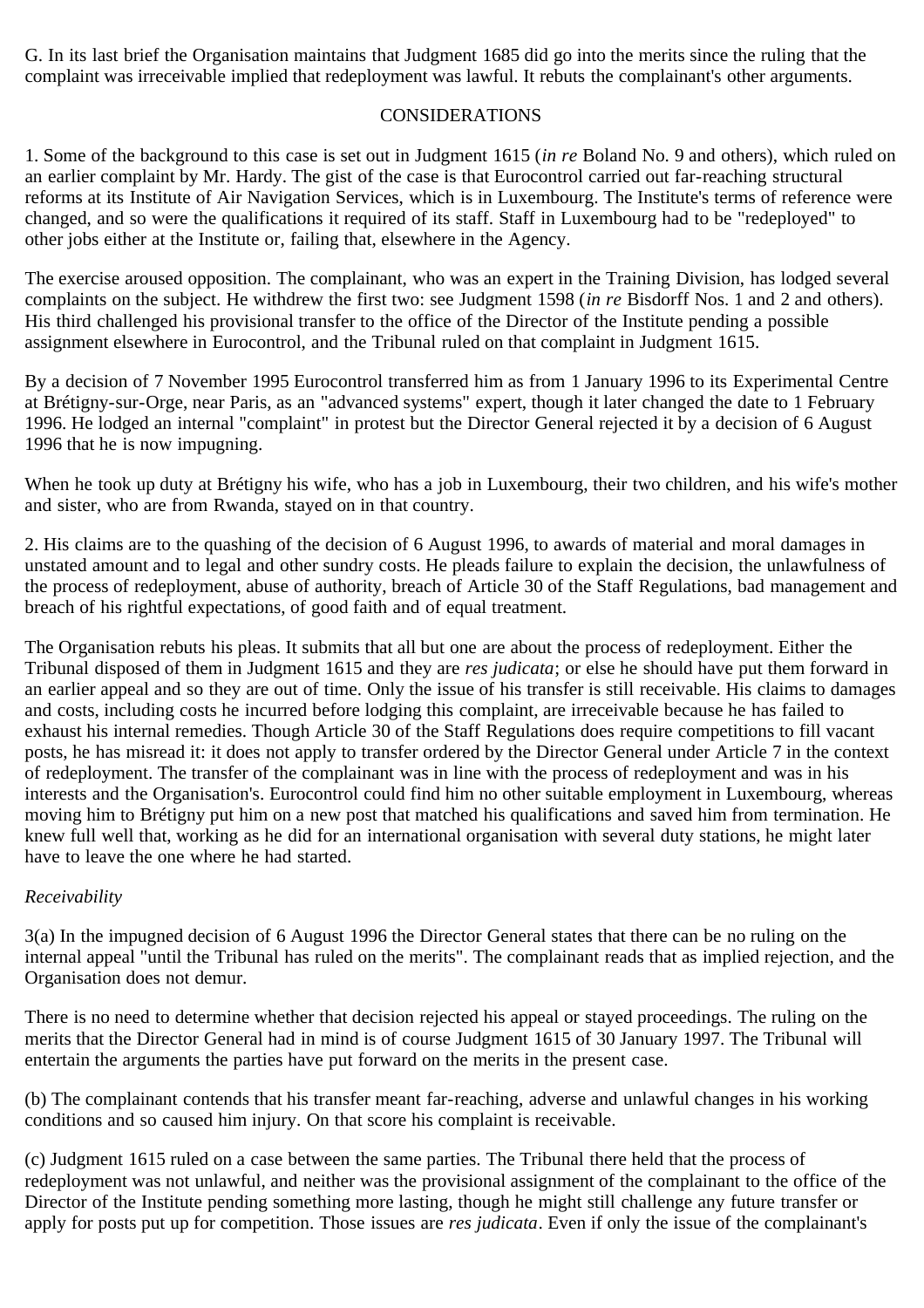G. In its last brief the Organisation maintains that Judgment 1685 did go into the merits since the ruling that the complaint was irreceivable implied that redeployment was lawful. It rebuts the complainant's other arguments.

### CONSIDERATIONS

1. Some of the background to this case is set out in Judgment 1615 (*in re* Boland No. 9 and others), which ruled on an earlier complaint by Mr. Hardy. The gist of the case is that Eurocontrol carried out far-reaching structural reforms at its Institute of Air Navigation Services, which is in Luxembourg. The Institute's terms of reference were changed, and so were the qualifications it required of its staff. Staff in Luxembourg had to be "redeployed" to other jobs either at the Institute or, failing that, elsewhere in the Agency.

The exercise aroused opposition. The complainant, who was an expert in the Training Division, has lodged several complaints on the subject. He withdrew the first two: see Judgment 1598 (*in re* Bisdorff Nos. 1 and 2 and others). His third challenged his provisional transfer to the office of the Director of the Institute pending a possible assignment elsewhere in Eurocontrol, and the Tribunal ruled on that complaint in Judgment 1615.

By a decision of 7 November 1995 Eurocontrol transferred him as from 1 January 1996 to its Experimental Centre at Brétigny-sur-Orge, near Paris, as an "advanced systems" expert, though it later changed the date to 1 February 1996. He lodged an internal "complaint" in protest but the Director General rejected it by a decision of 6 August 1996 that he is now impugning.

When he took up duty at Brétigny his wife, who has a job in Luxembourg, their two children, and his wife's mother and sister, who are from Rwanda, stayed on in that country.

2. His claims are to the quashing of the decision of 6 August 1996, to awards of material and moral damages in unstated amount and to legal and other sundry costs. He pleads failure to explain the decision, the unlawfulness of the process of redeployment, abuse of authority, breach of Article 30 of the Staff Regulations, bad management and breach of his rightful expectations, of good faith and of equal treatment.

The Organisation rebuts his pleas. It submits that all but one are about the process of redeployment. Either the Tribunal disposed of them in Judgment 1615 and they are *res judicata*; or else he should have put them forward in an earlier appeal and so they are out of time. Only the issue of his transfer is still receivable. His claims to damages and costs, including costs he incurred before lodging this complaint, are irreceivable because he has failed to exhaust his internal remedies. Though Article 30 of the Staff Regulations does require competitions to fill vacant posts, he has misread it: it does not apply to transfer ordered by the Director General under Article 7 in the context of redeployment. The transfer of the complainant was in line with the process of redeployment and was in his interests and the Organisation's. Eurocontrol could find him no other suitable employment in Luxembourg, whereas moving him to Brétigny put him on a new post that matched his qualifications and saved him from termination. He knew full well that, working as he did for an international organisation with several duty stations, he might later have to leave the one where he had started.

### *Receivability*

3(a) In the impugned decision of 6 August 1996 the Director General states that there can be no ruling on the internal appeal "until the Tribunal has ruled on the merits". The complainant reads that as implied rejection, and the Organisation does not demur.

There is no need to determine whether that decision rejected his appeal or stayed proceedings. The ruling on the merits that the Director General had in mind is of course Judgment 1615 of 30 January 1997. The Tribunal will entertain the arguments the parties have put forward on the merits in the present case.

(b) The complainant contends that his transfer meant far-reaching, adverse and unlawful changes in his working conditions and so caused him injury. On that score his complaint is receivable.

(c) Judgment 1615 ruled on a case between the same parties. The Tribunal there held that the process of redeployment was not unlawful, and neither was the provisional assignment of the complainant to the office of the Director of the Institute pending something more lasting, though he might still challenge any future transfer or apply for posts put up for competition. Those issues are *res judicata*. Even if only the issue of the complainant's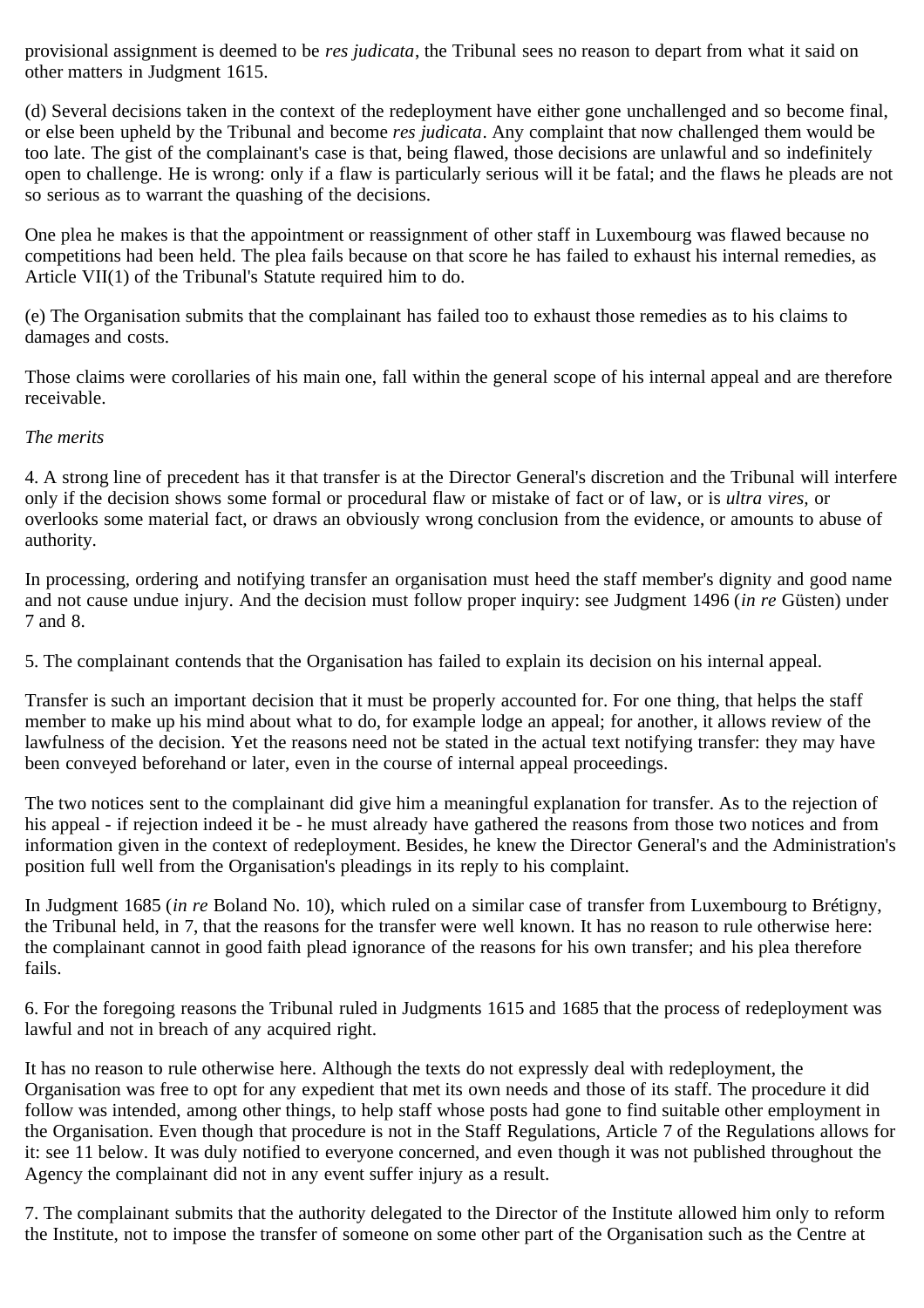provisional assignment is deemed to be *res judicata*, the Tribunal sees no reason to depart from what it said on other matters in Judgment 1615.

(d) Several decisions taken in the context of the redeployment have either gone unchallenged and so become final, or else been upheld by the Tribunal and become *res judicata*. Any complaint that now challenged them would be too late. The gist of the complainant's case is that, being flawed, those decisions are unlawful and so indefinitely open to challenge. He is wrong: only if a flaw is particularly serious will it be fatal; and the flaws he pleads are not so serious as to warrant the quashing of the decisions.

One plea he makes is that the appointment or reassignment of other staff in Luxembourg was flawed because no competitions had been held. The plea fails because on that score he has failed to exhaust his internal remedies, as Article VII(1) of the Tribunal's Statute required him to do.

(e) The Organisation submits that the complainant has failed too to exhaust those remedies as to his claims to damages and costs.

Those claims were corollaries of his main one, fall within the general scope of his internal appeal and are therefore receivable.

### *The merits*

4. A strong line of precedent has it that transfer is at the Director General's discretion and the Tribunal will interfere only if the decision shows some formal or procedural flaw or mistake of fact or of law, or is *ultra vires,* or overlooks some material fact, or draws an obviously wrong conclusion from the evidence, or amounts to abuse of authority.

In processing, ordering and notifying transfer an organisation must heed the staff member's dignity and good name and not cause undue injury. And the decision must follow proper inquiry: see Judgment 1496 (*in re* Güsten) under 7 and 8.

5. The complainant contends that the Organisation has failed to explain its decision on his internal appeal.

Transfer is such an important decision that it must be properly accounted for. For one thing, that helps the staff member to make up his mind about what to do, for example lodge an appeal; for another, it allows review of the lawfulness of the decision. Yet the reasons need not be stated in the actual text notifying transfer: they may have been conveyed beforehand or later, even in the course of internal appeal proceedings.

The two notices sent to the complainant did give him a meaningful explanation for transfer. As to the rejection of his appeal - if rejection indeed it be - he must already have gathered the reasons from those two notices and from information given in the context of redeployment. Besides, he knew the Director General's and the Administration's position full well from the Organisation's pleadings in its reply to his complaint.

In Judgment 1685 (*in re* Boland No. 10), which ruled on a similar case of transfer from Luxembourg to Brétigny, the Tribunal held, in 7, that the reasons for the transfer were well known. It has no reason to rule otherwise here: the complainant cannot in good faith plead ignorance of the reasons for his own transfer; and his plea therefore fails.

6. For the foregoing reasons the Tribunal ruled in Judgments 1615 and 1685 that the process of redeployment was lawful and not in breach of any acquired right.

It has no reason to rule otherwise here. Although the texts do not expressly deal with redeployment, the Organisation was free to opt for any expedient that met its own needs and those of its staff. The procedure it did follow was intended, among other things, to help staff whose posts had gone to find suitable other employment in the Organisation. Even though that procedure is not in the Staff Regulations, Article 7 of the Regulations allows for it: see 11 below. It was duly notified to everyone concerned, and even though it was not published throughout the Agency the complainant did not in any event suffer injury as a result.

7. The complainant submits that the authority delegated to the Director of the Institute allowed him only to reform the Institute, not to impose the transfer of someone on some other part of the Organisation such as the Centre at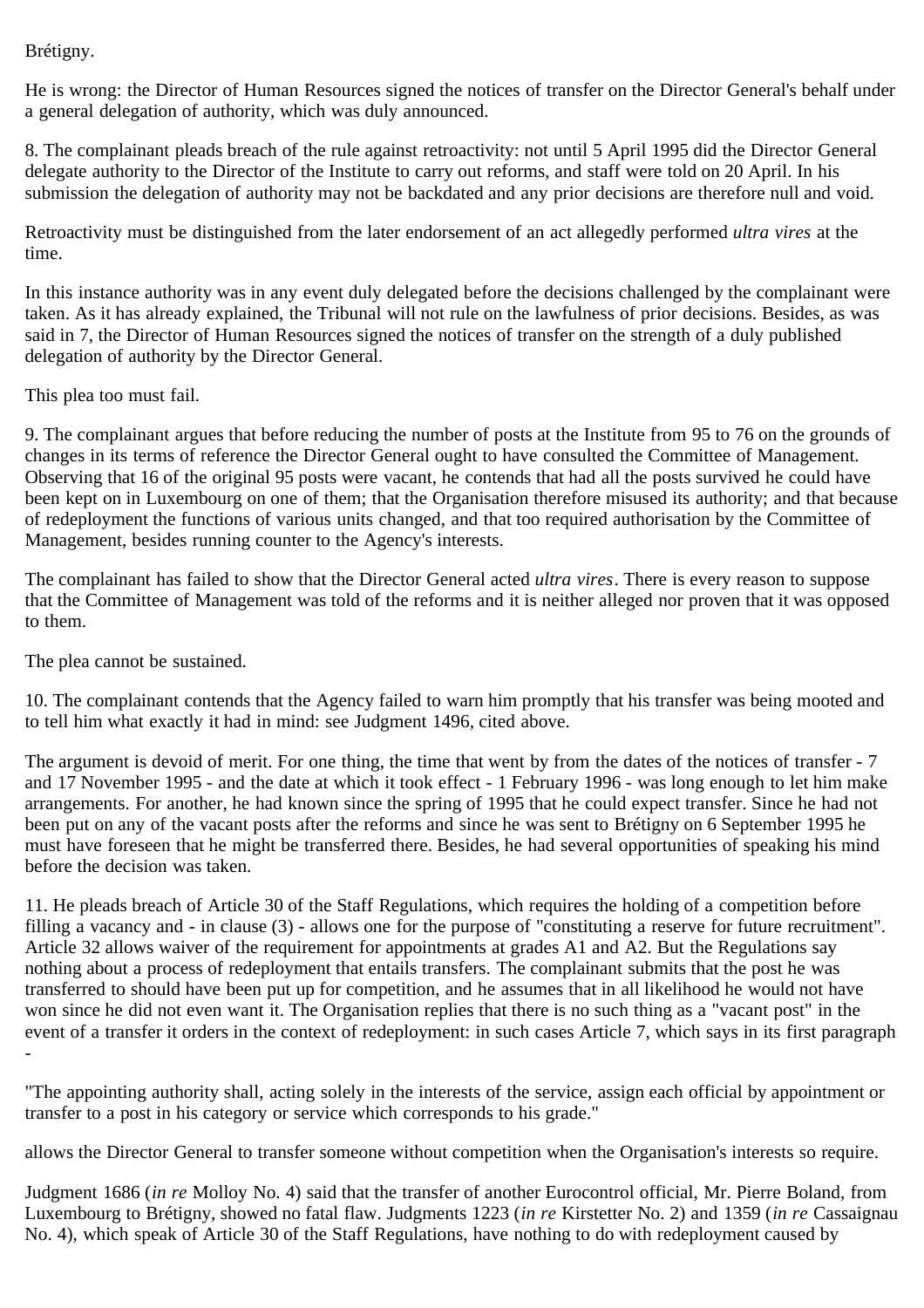Brétigny.

He is wrong: the Director of Human Resources signed the notices of transfer on the Director General's behalf under a general delegation of authority, which was duly announced.

8. The complainant pleads breach of the rule against retroactivity: not until 5 April 1995 did the Director General delegate authority to the Director of the Institute to carry out reforms, and staff were told on 20 April. In his submission the delegation of authority may not be backdated and any prior decisions are therefore null and void.

Retroactivity must be distinguished from the later endorsement of an act allegedly performed *ultra vires* at the time.

In this instance authority was in any event duly delegated before the decisions challenged by the complainant were taken. As it has already explained, the Tribunal will not rule on the lawfulness of prior decisions. Besides, as was said in 7, the Director of Human Resources signed the notices of transfer on the strength of a duly published delegation of authority by the Director General.

This plea too must fail.

9. The complainant argues that before reducing the number of posts at the Institute from 95 to 76 on the grounds of changes in its terms of reference the Director General ought to have consulted the Committee of Management. Observing that 16 of the original 95 posts were vacant, he contends that had all the posts survived he could have been kept on in Luxembourg on one of them; that the Organisation therefore misused its authority; and that because of redeployment the functions of various units changed, and that too required authorisation by the Committee of Management, besides running counter to the Agency's interests.

The complainant has failed to show that the Director General acted *ultra vires*. There is every reason to suppose that the Committee of Management was told of the reforms and it is neither alleged nor proven that it was opposed to them.

The plea cannot be sustained.

10. The complainant contends that the Agency failed to warn him promptly that his transfer was being mooted and to tell him what exactly it had in mind: see Judgment 1496, cited above.

The argument is devoid of merit. For one thing, the time that went by from the dates of the notices of transfer - 7 and 17 November 1995 - and the date at which it took effect - 1 February 1996 - was long enough to let him make arrangements. For another, he had known since the spring of 1995 that he could expect transfer. Since he had not been put on any of the vacant posts after the reforms and since he was sent to Brétigny on 6 September 1995 he must have foreseen that he might be transferred there. Besides, he had several opportunities of speaking his mind before the decision was taken.

11. He pleads breach of Article 30 of the Staff Regulations, which requires the holding of a competition before filling a vacancy and - in clause (3) - allows one for the purpose of "constituting a reserve for future recruitment". Article 32 allows waiver of the requirement for appointments at grades A1 and A2. But the Regulations say nothing about a process of redeployment that entails transfers. The complainant submits that the post he was transferred to should have been put up for competition, and he assumes that in all likelihood he would not have won since he did not even want it. The Organisation replies that there is no such thing as a "vacant post" in the event of a transfer it orders in the context of redeployment: in such cases Article 7, which says in its first paragraph -

"The appointing authority shall, acting solely in the interests of the service, assign each official by appointment or transfer to a post in his category or service which corresponds to his grade."

allows the Director General to transfer someone without competition when the Organisation's interests so require.

Judgment 1686 (*in re* Molloy No. 4) said that the transfer of another Eurocontrol official, Mr. Pierre Boland, from Luxembourg to Brétigny, showed no fatal flaw. Judgments 1223 (*in re* Kirstetter No. 2) and 1359 (*in re* Cassaignau No. 4), which speak of Article 30 of the Staff Regulations, have nothing to do with redeployment caused by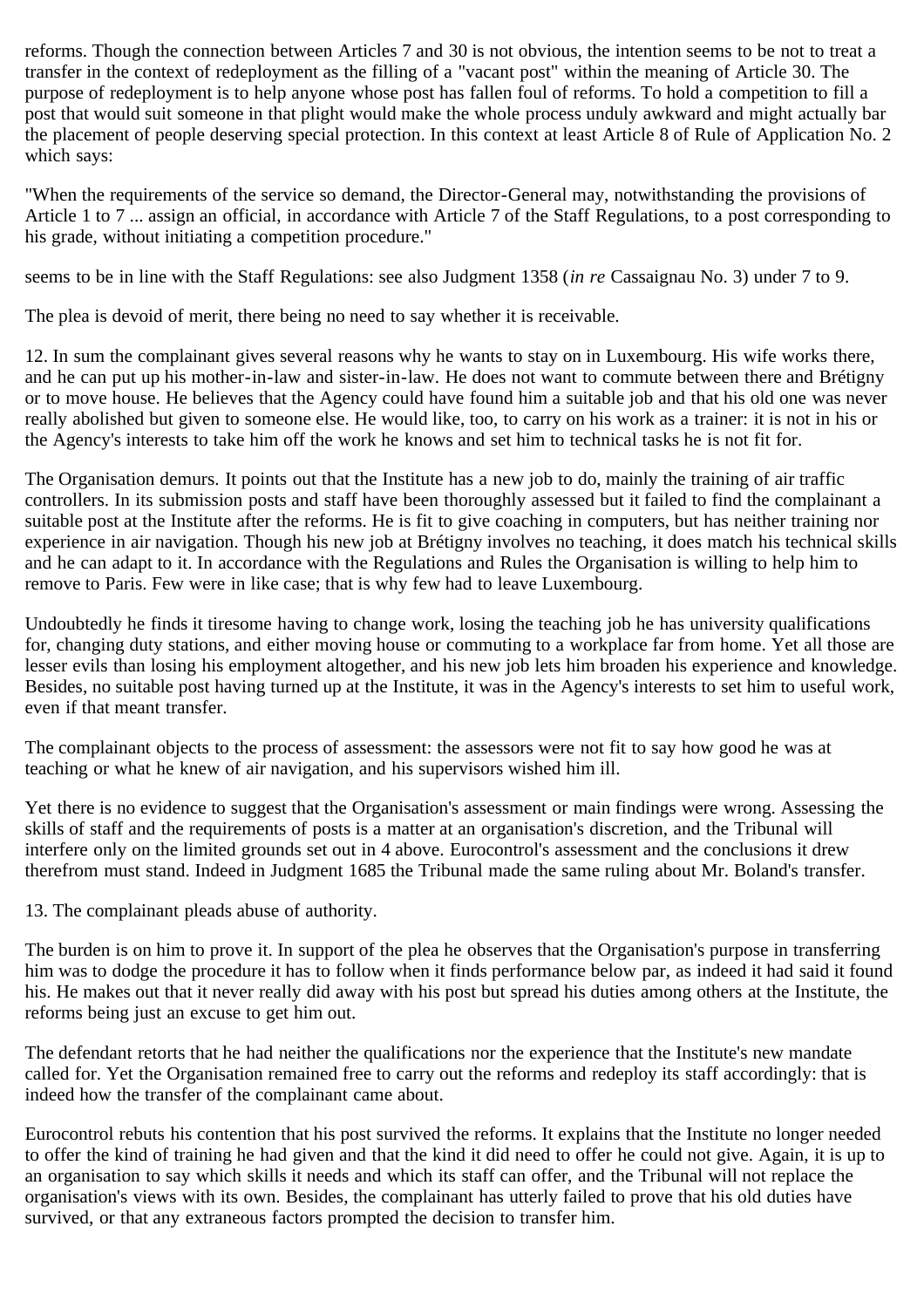reforms. Though the connection between Articles 7 and 30 is not obvious, the intention seems to be not to treat a transfer in the context of redeployment as the filling of a "vacant post" within the meaning of Article 30. The purpose of redeployment is to help anyone whose post has fallen foul of reforms. To hold a competition to fill a post that would suit someone in that plight would make the whole process unduly awkward and might actually bar the placement of people deserving special protection. In this context at least Article 8 of Rule of Application No. 2 which says:

"When the requirements of the service so demand, the Director-General may, notwithstanding the provisions of Article 1 to 7 ... assign an official, in accordance with Article 7 of the Staff Regulations, to a post corresponding to his grade, without initiating a competition procedure."

seems to be in line with the Staff Regulations: see also Judgment 1358 (*in re* Cassaignau No. 3) under 7 to 9.

The plea is devoid of merit, there being no need to say whether it is receivable.

12. In sum the complainant gives several reasons why he wants to stay on in Luxembourg. His wife works there, and he can put up his mother-in-law and sister-in-law. He does not want to commute between there and Brétigny or to move house. He believes that the Agency could have found him a suitable job and that his old one was never really abolished but given to someone else. He would like, too, to carry on his work as a trainer: it is not in his or the Agency's interests to take him off the work he knows and set him to technical tasks he is not fit for.

The Organisation demurs. It points out that the Institute has a new job to do, mainly the training of air traffic controllers. In its submission posts and staff have been thoroughly assessed but it failed to find the complainant a suitable post at the Institute after the reforms. He is fit to give coaching in computers, but has neither training nor experience in air navigation. Though his new job at Brétigny involves no teaching, it does match his technical skills and he can adapt to it. In accordance with the Regulations and Rules the Organisation is willing to help him to remove to Paris. Few were in like case; that is why few had to leave Luxembourg.

Undoubtedly he finds it tiresome having to change work, losing the teaching job he has university qualifications for, changing duty stations, and either moving house or commuting to a workplace far from home. Yet all those are lesser evils than losing his employment altogether, and his new job lets him broaden his experience and knowledge. Besides, no suitable post having turned up at the Institute, it was in the Agency's interests to set him to useful work, even if that meant transfer.

The complainant objects to the process of assessment: the assessors were not fit to say how good he was at teaching or what he knew of air navigation, and his supervisors wished him ill.

Yet there is no evidence to suggest that the Organisation's assessment or main findings were wrong. Assessing the skills of staff and the requirements of posts is a matter at an organisation's discretion, and the Tribunal will interfere only on the limited grounds set out in 4 above. Eurocontrol's assessment and the conclusions it drew therefrom must stand. Indeed in Judgment 1685 the Tribunal made the same ruling about Mr. Boland's transfer.

13. The complainant pleads abuse of authority.

The burden is on him to prove it. In support of the plea he observes that the Organisation's purpose in transferring him was to dodge the procedure it has to follow when it finds performance below par, as indeed it had said it found his. He makes out that it never really did away with his post but spread his duties among others at the Institute, the reforms being just an excuse to get him out.

The defendant retorts that he had neither the qualifications nor the experience that the Institute's new mandate called for. Yet the Organisation remained free to carry out the reforms and redeploy its staff accordingly: that is indeed how the transfer of the complainant came about.

Eurocontrol rebuts his contention that his post survived the reforms. It explains that the Institute no longer needed to offer the kind of training he had given and that the kind it did need to offer he could not give. Again, it is up to an organisation to say which skills it needs and which its staff can offer, and the Tribunal will not replace the organisation's views with its own. Besides, the complainant has utterly failed to prove that his old duties have survived, or that any extraneous factors prompted the decision to transfer him.